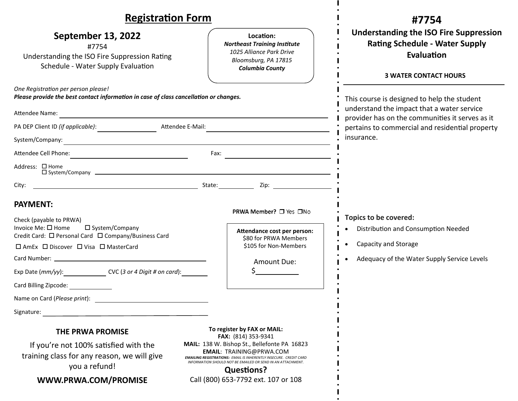| <b>Registration Form</b>                                                                                                                                                                                                                        |                                                                                                                                                                                                                                                 | #7754                                                                                                                                            |
|-------------------------------------------------------------------------------------------------------------------------------------------------------------------------------------------------------------------------------------------------|-------------------------------------------------------------------------------------------------------------------------------------------------------------------------------------------------------------------------------------------------|--------------------------------------------------------------------------------------------------------------------------------------------------|
| <b>September 13, 2022</b><br>#7754<br>Understanding the ISO Fire Suppression Rating<br>Schedule - Water Supply Evaluation                                                                                                                       | Location:<br><b>Northeast Training Institute</b><br>1025 Alliance Park Drive<br>Bloomsburg, PA 17815<br><b>Columbia County</b>                                                                                                                  | <b>Understanding the ISO Fire Suppression</b><br><b>Rating Schedule - Water Supply</b><br>Evaluation<br><b>3 WATER CONTACT HOURS</b>             |
| One Registration per person please!<br>Please provide the best contact information in case of class cancellation or changes.                                                                                                                    |                                                                                                                                                                                                                                                 | This course is designed to help the student                                                                                                      |
| Attendee Name:<br>the control of the control of the control of the control of the control of the control of the control of the control of the control of the control of the control of the control of the control of the control of the control |                                                                                                                                                                                                                                                 | understand the impact that a water service<br>provider has on the communities it serves as it<br>pertains to commercial and residential property |
| Attendee E-Mail:<br>PA DEP Client ID (if applicable):                                                                                                                                                                                           |                                                                                                                                                                                                                                                 |                                                                                                                                                  |
| System/Company:                                                                                                                                                                                                                                 |                                                                                                                                                                                                                                                 | insurance.                                                                                                                                       |
|                                                                                                                                                                                                                                                 |                                                                                                                                                                                                                                                 |                                                                                                                                                  |
| Address: □ Home<br>$\square$ System/Company $\square$                                                                                                                                                                                           |                                                                                                                                                                                                                                                 |                                                                                                                                                  |
| City:                                                                                                                                                                                                                                           |                                                                                                                                                                                                                                                 |                                                                                                                                                  |
| <b>PAYMENT:</b>                                                                                                                                                                                                                                 |                                                                                                                                                                                                                                                 |                                                                                                                                                  |
| Check (payable to PRWA)                                                                                                                                                                                                                         | PRWA Member? □ Yes □No                                                                                                                                                                                                                          | Topics to be covered:                                                                                                                            |
| Invoice Me: $\square$ Home<br>$\square$ System/Company<br>Credit Card: □ Personal Card □ Company/Business Card                                                                                                                                  | Attendance cost per person:                                                                                                                                                                                                                     | Distribution and Consumption Needed<br>$\bullet$                                                                                                 |
| □ AmEx □ Discover □ Visa □ MasterCard                                                                                                                                                                                                           | \$80 for PRWA Members<br>\$105 for Non-Members                                                                                                                                                                                                  | Capacity and Storage                                                                                                                             |
|                                                                                                                                                                                                                                                 | Amount Due:                                                                                                                                                                                                                                     | Adequacy of the Water Supply Service Levels                                                                                                      |
| Exp Date (mm/yy): CVC (3 or 4 Digit # on card):                                                                                                                                                                                                 |                                                                                                                                                                                                                                                 |                                                                                                                                                  |
| Card Billing Zipcode:                                                                                                                                                                                                                           |                                                                                                                                                                                                                                                 |                                                                                                                                                  |
| Name on Card (Please print):                                                                                                                                                                                                                    |                                                                                                                                                                                                                                                 |                                                                                                                                                  |
| Signature:                                                                                                                                                                                                                                      |                                                                                                                                                                                                                                                 |                                                                                                                                                  |
| <b>THE PRWA PROMISE</b>                                                                                                                                                                                                                         | To register by FAX or MAIL:<br><b>FAX:</b> (814) 353-9341                                                                                                                                                                                       |                                                                                                                                                  |
| If you're not 100% satisfied with the<br>training class for any reason, we will give<br>you a refund!                                                                                                                                           | MAIL: 138 W. Bishop St., Bellefonte PA 16823<br><b>EMAIL: TRAINING@PRWA.COM</b><br><b>EMAILING REGISTRATIONS: EMAIL IS INHERENTLY INSECURE. CREDIT CARD</b><br>INFORMATION SHOULD NOT BE EMAILED OR SEND IN AN ATTACHMENT.<br><b>Questions?</b> |                                                                                                                                                  |
| WWW.PRWA.COM/PROMISE                                                                                                                                                                                                                            | Call (800) 653-7792 ext. 107 or 108                                                                                                                                                                                                             |                                                                                                                                                  |